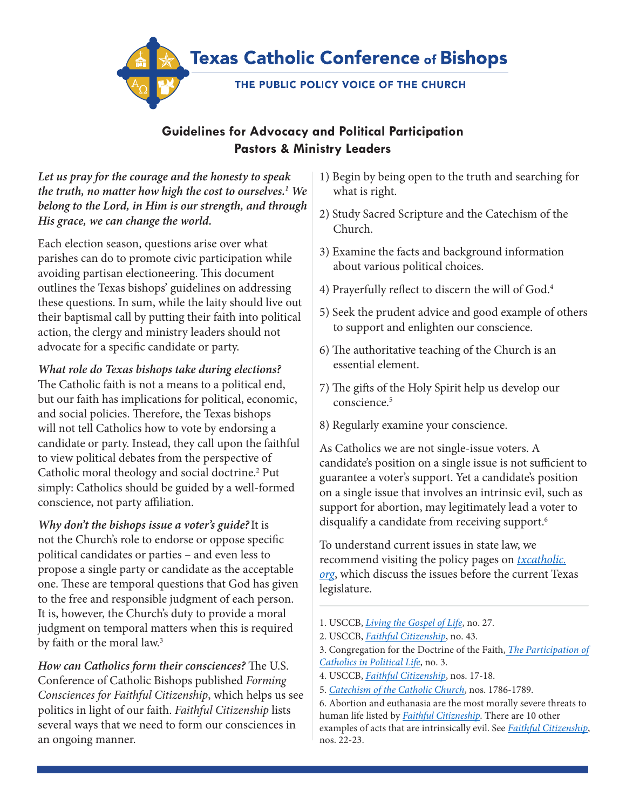

## **Guidelines for Advocacy and Political Participation Pastors & Ministry Leaders**

*Let us pray for the courage and the honesty to speak the truth, no matter how high the cost to ourselves.1 We belong to the Lord, in Him is our strength, and through His grace, we can change the world.*

Each election season, questions arise over what parishes can do to promote civic participation while avoiding partisan electioneering. This document outlines the Texas bishops' guidelines on addressing these questions. In sum, while the laity should live out their baptismal call by putting their faith into political action, the clergy and ministry leaders should not advocate for a specific candidate or party.

*What role do Texas bishops take during elections?* The Catholic faith is not a means to a political end, but our faith has implications for political, economic, and social policies. Therefore, the Texas bishops will not tell Catholics how to vote by endorsing a candidate or party. Instead, they call upon the faithful to view political debates from the perspective of Catholic moral theology and social doctrine.<sup>2</sup> Put simply: Catholics should be guided by a well-formed conscience, not party affiliation.

*Why don't the bishops issue a voter's guide?*It is not the Church's role to endorse or oppose specific political candidates or parties – and even less to propose a single party or candidate as the acceptable one. These are temporal questions that God has given to the free and responsible judgment of each person. It is, however, the Church's duty to provide a moral judgment on temporal matters when this is required by faith or the moral law.<sup>3</sup>

*How can Catholics form their consciences?* The U.S. Conference of Catholic Bishops published *Forming Consciences for Faithful Citizenship*, which helps us see politics in light of our faith. *Faithful Citizenship* lists several ways that we need to form our consciences in an ongoing manner.

- 1) Begin by being open to the truth and searching for what is right.
- 2) Study Sacred Scripture and the Catechism of the Church.
- 3) Examine the facts and background information about various political choices.
- 4) Prayerfully reflect to discern the will of God.4
- 5) Seek the prudent advice and good example of others to support and enlighten our conscience.
- 6) The authoritative teaching of the Church is an essential element.
- 7) The gifts of the Holy Spirit help us develop our conscience.5
- 8) Regularly examine your conscience.

As Catholics we are not single-issue voters. A candidate's position on a single issue is not sufficient to guarantee a voter's support. Yet a candidate's position on a single issue that involves an intrinsic evil, such as support for abortion, may legitimately lead a voter to disqualify a candidate from receiving support.<sup>6</sup>

To understand current issues in state law, we recommend visiting the policy pages on *[txcatholic.](https://txcatholic.org/) [org](https://txcatholic.org/)*, which discuss the issues before the current Texas legislature.

- 1. USCCB, *[Living the Gospel of Life](http://www.usccb.org/issues-and-action/human-life-and-dignity/abortion/living-the-gospel-of-life.cfm)*, no. 27.
- 2. USCCB, *[Faithful Citizenship](http://www.usccb.org/issues-and-action/faithful-citizenship/upload/forming-consciences-for-faithful-citizenship.pdf#page=25)*, no. 43.

- 4. USCCB, *[Faithful Citizenship](http://www.usccb.org/issues-and-action/faithful-citizenship/upload/forming-consciences-for-faithful-citizenship.pdf#page=18)*, nos. 17-18.
- 5. *[Catechism of the Catholic Church](http://www.vatican.va/archive/ENG0015/__P61.HTM)*, nos. 1786-1789.

6. Abortion and euthanasia are the most morally severe threats to human life listed by *Faithful [Citizneship](http://www.usccb.org/issues-and-action/faithful-citizenship/upload/forming-consciences-for-faithful-citizenship.pdf#page=19)*. There are 10 other examples of acts that are intrinsically evil. See *[Faithful Citizenship](http://www.usccb.org/issues-and-action/faithful-citizenship/upload/forming-consciences-for-faithful-citizenship.pdf#page=19)*, nos. 22-23.

<sup>3.</sup> Congregation for the Doctrine of the Faith, *Th[e Participation of](http://www.vatican.va/roman_curia/congregations/cfaith/documents/rc_con_cfaith_doc_20021124_politica_en.html) [Catholics in Political Life](http://www.vatican.va/roman_curia/congregations/cfaith/documents/rc_con_cfaith_doc_20021124_politica_en.html)*, no. 3.